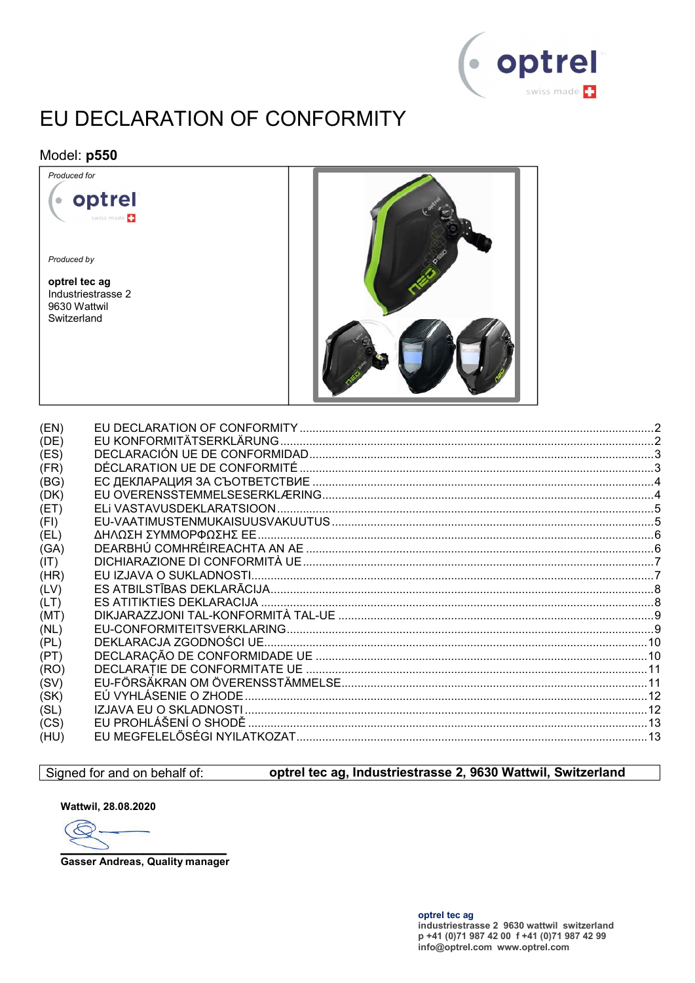

# EU DECLARATION OF CONFORMITY

#### Model: p550 Produced for

 $\bullet$ 

Produced by

optrel tec ag Industriestrasse 2 9630 Wattwil Switzerland

optrel

iss made **[1]** 



| (EN) |  |
|------|--|
| (DE) |  |
| (ES) |  |
| (FR) |  |
| (BG) |  |
| (DK) |  |
| (ET) |  |
| (FI) |  |
| (EL) |  |
| (GA) |  |
| (IT) |  |
| (HR) |  |
| (LV) |  |
| (LT) |  |
| (MT) |  |
| (NL) |  |
| (PL) |  |
| (PT) |  |
| (RO) |  |
| (SV) |  |
| (SK) |  |
| (SL) |  |
| (CS) |  |
| (HU) |  |
|      |  |

#### Signed for and on behalf of:

#### optrel tec ag, Industriestrasse 2, 9630 Wattwil, Switzerland

Wattwil, 28.08.2020

E

**Gasser Andreas, Quality manager**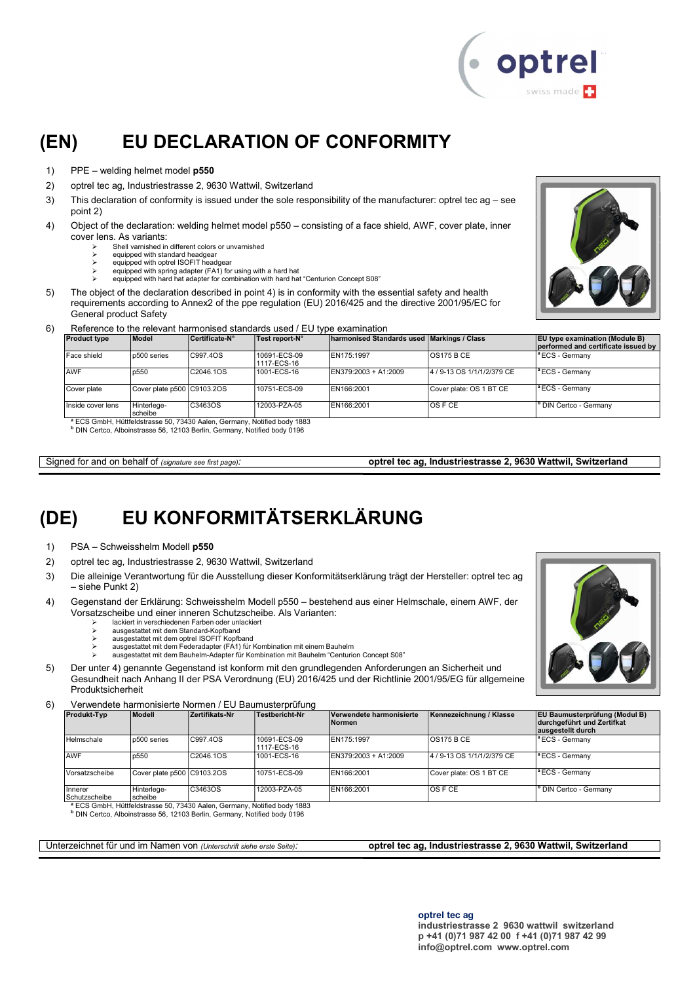

## (EN) EU DECLARATION OF CONFORMITY

- 1) PPE welding helmet model p550
- 2) optrel tec ag, Industriestrasse 2, 9630 Wattwil, Switzerland
- 3) This declaration of conformity is issued under the sole responsibility of the manufacturer: optrel tec ag see point 2)
- 4) Object of the declaration: welding helmet model p550 consisting of a face shield, AWF, cover plate, inner cover lens. As variants:
	- Shell varnished in different colors or unvarnished
	- equipped with standard headgear equipped with optrel ISOFIT headgear
		- equipped with spring adapter (FA1) for using with a hard hat
	- equipped with hard hat adapter for combination with hard hat "Centurion Concept S08"
- 5) The object of the declaration described in point 4) is in conformity with the essential safety and health requirements according to Annex2 of the ppe regulation (EU) 2016/425 and the directive 2001/95/EC for General product Safety
- 6) Reference to the relevant harmonised standards used / EU type examination

| <b>Product type</b> | Model                      | Certificate N° | Test report N°                                                                       | harmonised Standards used Markings / Class |                            | <b>EU type examination (Module B)</b><br>performed and certificate issued by |
|---------------------|----------------------------|----------------|--------------------------------------------------------------------------------------|--------------------------------------------|----------------------------|------------------------------------------------------------------------------|
| Face shield         | p500 series                | C997.4OS       | 10691-ECS-09<br>1117-ECS-16                                                          | EN175:1997                                 | IOS175 B CE                | <sup>a</sup> ECS - Germany                                                   |
| <b>AWF</b>          | p550                       | C2046.1OS      | 1001-ECS-16                                                                          | EN379:2003 + A1:2009                       | 4 / 9-13 OS 1/1/1/2/379 CE | <sup>a</sup> ECS - Germany                                                   |
| Cover plate         | Cover plate p500 C9103.2OS |                | 10751-ECS-09                                                                         | EN166:2001                                 | Cover plate: OS 1 BT CE    | <sup>a</sup> ECS - Germanv                                                   |
| Inside cover lens   | Hinterlege-<br>scheibe     | C3463OS        | 12003-PZA-05                                                                         | EN166:2001                                 | IOS F CE                   | <sup>b</sup> DIN Certco - Germany                                            |
|                     |                            |                | <sup>a</sup> ECS GmbH, Hüttfeldstrasse 50, 73430 Aalen, Germany, Notified body 1883  |                                            |                            |                                                                              |
|                     |                            |                | <sup>b</sup> DIN Certco, Alboinstrasse 56, 12103 Berlin, Germany, Notified body 0196 |                                            |                            |                                                                              |

Signed for and on behalf of (signature see first page): optrel tec ag, Industriestrasse 2, 9630 Wattwil, Switzerland

# (DE) EU KONFORMITÄTSERKLÄRUNG

- 1) PSA Schweisshelm Modell p550
- 2) optrel tec ag, Industriestrasse 2, 9630 Wattwil, Switzerland
- 3) Die alleinige Verantwortung für die Ausstellung dieser Konformitätserklärung trägt der Hersteller: optrel tec ag – siehe Punkt 2)
- 4) Gegenstand der Erklärung: Schweisshelm Modell p550 bestehend aus einer Helmschale, einem AWF, der Vorsatzscheibe und einer inneren Schutzscheibe. Als Varianten:
	- lackiert in verschiedenen Farben oder unlackiert
	- ausgestattet mit dem Standard-Kopfband
	- > ausgestattet mit dem optrel ISOFIT Kopfband<br>-> ausgestattet mit dem Federadapter (FA1) für Kombination mit einem Bauhelm<br>> ausgestattet mit dem Bauhelm-Adapter für Kombination mit Bauhelm "Centurion Concept S08"
	-
- 5) Der unter 4) genannte Gegenstand ist konform mit den grundlegenden Anforderungen an Sicherheit und Gesundheit nach Anhang II der PSA Verordnung (EU) 2016/425 und der Richtlinie 2001/95/EG für allgemeine Produktsicherheit

6) Verwendete harmonisierte Normen / EU Baumusterprüfung

| <b>Produkt-Typ</b>       | Modell                     | Zertifikats-Nr | <b>Testbericht-Nr</b>       | Verwendete harmonisierte<br><b>Normen</b> | Kennezeichnung / Klasse    | <b>EU Baumusterprüfung (Modul B)</b><br>durchgeführt und Zertifkat<br>ausgestellt durch |
|--------------------------|----------------------------|----------------|-----------------------------|-------------------------------------------|----------------------------|-----------------------------------------------------------------------------------------|
| Helmschale               | p500 series                | C997.4OS       | 10691-ECS-09<br>1117-ECS-16 | EN175:1997                                | <b>OS175 B CE</b>          | $\vert$ <sup>a</sup> ECS - Germany                                                      |
| <b>AWF</b>               | p550                       | C2046.1OS      | 1001-ECS-16                 | EN379:2003 + A1:2009                      | 4 / 9-13 OS 1/1/1/2/379 CE | <sup>a</sup> ECS - Germany                                                              |
| Vorsatzscheibe           | Cover plate p500 C9103.2OS |                | 10751-ECS-09                | EN166:2001                                | Cover plate: OS 1 BT CE    | $ $ <sup>a</sup> ECS - Germany                                                          |
| Innerer<br>Schutzscheibe | Hinterlege-<br>scheibe     | C3463OS        | 12003-PZA-05                | EN166:2001                                | <b>OSFCE</b>               | <sup>b</sup> DIN Certco - Germany                                                       |

Schutzscheibe scheibe <sup>a</sup> ECS GmbH, Hüttfeldstrasse 50, 73430 Aalen, Germany, Notified body 1883 b DIN Certco, Alboinstrasse 56, 12103 Berlin, Germany, Notified body 0196

Unterzeichnet für und im Namen von (Unterschrift siehe erste Seite): optrel tec ag, Industriestrasse 2, 9630 Wattwil, Switzerland

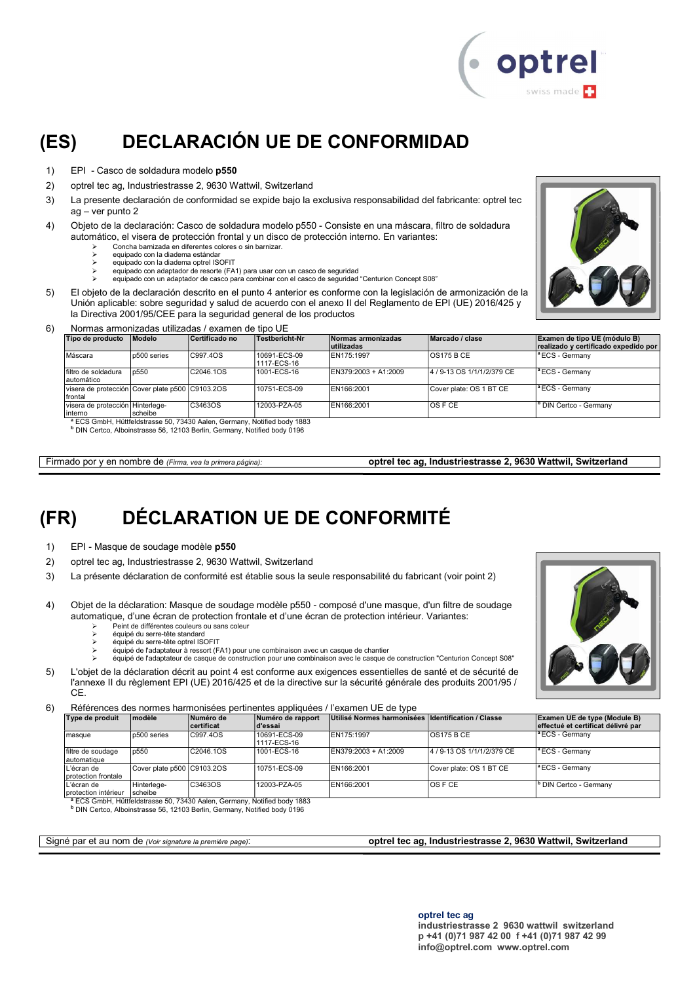

# (ES) DECLARACIÓN UE DE CONFORMIDAD

- 1) EPI Casco de soldadura modelo p550
- 2) optrel tec ag, Industriestrasse 2, 9630 Wattwil, Switzerland
- 3) La presente declaración de conformidad se expide bajo la exclusiva responsabilidad del fabricante: optrel tec ag – ver punto 2
- 4) Objeto de la declaración: Casco de soldadura modelo p550 Consiste en una máscara, filtro de soldadura automático, el visera de protección frontal y un disco de protección interno. En variantes:
	- Concha barnizada en diferentes colores o sin barnizar.
	- equipado con la diadema estándar equipado con la diadema optrel ISOFIT
	- equipado con adaptador de resorte (FA1) para usar con un casco de seguridad
	- equipado con un adaptador de casco para combinar con el casco de seguridad "Centurion Concept S08"
- 5) El objeto de la declaración descrito en el punto 4 anterior es conforme con la legislación de armonización de la Unión aplicable: sobre seguridad y salud de acuerdo con el anexo II del Reglamento de EPI (UE) 2016/425 y la Directiva 2001/95/CEE para la seguridad general de los productos



#### 6) Normas armonizadas utilizadas / examen de tipo UE

| Tipo de producto                                           | Modelo      | Certificado no                                                                      | Testbericht-Nr              | Normas armonizadas   | Marcado / clase            | Examen de tipo UE (módulo B)         |
|------------------------------------------------------------|-------------|-------------------------------------------------------------------------------------|-----------------------------|----------------------|----------------------------|--------------------------------------|
|                                                            |             |                                                                                     |                             | lutilizadas          |                            | realizado y certificado expedido por |
| Máscara                                                    | p500 series | C997.4OS                                                                            | 10691-ECS-09<br>1117-ECS-16 | EN175:1997           | <b>OS175 B CE</b>          | <sup>a</sup> ECS - Germanv           |
| filtro de soldadura<br>automático                          | p550        | C2046.1OS                                                                           | 1001-ECS-16                 | EN379:2003 + A1:2009 | 4 / 9-13 OS 1/1/1/2/379 CE | <sup>a</sup> ECS - Germanv           |
| visera de protección Cover plate p500 C9103.2OS<br>frontal |             |                                                                                     | 10751-ECS-09                | EN166:2001           | Cover plate: OS 1 BT CE    | <sup>a</sup> ECS - Germany           |
| visera de protección l Hinterlege-                         |             | C3463OS                                                                             | 12003-PZA-05                | EN166:2001           | IOS F CE                   | <sup>b</sup> DIN Certco - Germany    |
| interno                                                    | scheibe     |                                                                                     |                             |                      |                            |                                      |
|                                                            |             | <sup>8</sup> ECS GmbH, Hüttfeldstrasse 50, 73430 Aalen, Germany, Notified body 1883 |                             |                      |                            |                                      |

<sup>a</sup> ECS GmbH, Hüttfeldstrasse 50, 73430 Aalen, Germany, Notified body 1883<br><sup>b</sup> DIN Certco, Alboinstrasse 56, 12103 Berlin, Germany, Notified body 0196

Firmado por y en nombre de (Firma, vea la primera página): optrel tec ag, Industriestrasse 2, 9630 Wattwil, Switzerland

# (FR) DÉCLARATION UE DE CONFORMITÉ

- 1) EPI Masque de soudage modèle p550
- 2) optrel tec ag, Industriestrasse 2, 9630 Wattwil, Switzerland
- 3) La présente déclaration de conformité est établie sous la seule responsabilité du fabricant (voir point 2)
- 4) Objet de la déclaration: Masque de soudage modèle p550 composé d'une masque, d'un filtre de soudage automatique, d'une écran de protection frontale et d'une écran de protection intérieur. Variantes:
	- $\triangleright$  Peint de différentes couleurs ou sans coleur<br>  $\triangleright$  équiné du serre-tête standard équipé du serre-tête standard
	- équipé du serre-tête optrel ISOFIT
	-
	- équipé de l'adaptateur à ressort (FA1) pour une combinaison avec un casque de chantier équipé de l'adaptateur de casque de construction pour une combinaison avec le casque de construction "Centurion Concept S08"
- 5) L'objet de la déclaration décrit au point 4 est conforme aux exigences essentielles de santé et de sécurité de l'annexe II du règlement EPI (UE) 2016/425 et de la directive sur la sécurité générale des produits 2001/95 / C<sub>E</sub>

6) Références des normes harmonisées pertinentes appliquées / l'examen UE de type

| Type de produit                      | <b>modèle</b>              | Numéro de  | Numéro de rapport           | Utilisé Normes harmonisées Identification / Classe |                            | Examen UE de type (Module B)       |
|--------------------------------------|----------------------------|------------|-----------------------------|----------------------------------------------------|----------------------------|------------------------------------|
|                                      |                            | certificat | d'essai                     |                                                    |                            | effectué et certificat délivré par |
| masque                               | p500 series                | C997.4OS   | 10691-ECS-09<br>1117-ECS-16 | EN175:1997                                         | OS175 B CE                 | $ $ <sup>a</sup> ECS - Germany     |
| filtre de soudage<br>automatique     | p550                       | C2046.1OS  | 1001-ECS-16                 | EN379:2003 + A1:2009                               | 4 / 9-13 OS 1/1/1/2/379 CE | $\vert$ <sup>a</sup> ECS - Germany |
| L'écran de<br>protection frontale    | Cover plate p500 C9103.2OS |            | 10751-ECS-09                | EN166:2001                                         | Cover plate: OS 1 BT CE    | $\vert$ <sup>a</sup> ECS - Germany |
| L'écran de<br>I protection intérieur | Hinterlege-<br>scheibe     | C3463OS    | 12003-PZA-05                | EN166:2001                                         | $OS$ F CE                  | <sup>1</sup> DIN Certco - Germany  |

protection intérieur [scheibe<br>『ECS GmbH, Hüttfeldstrasse 50, 73430 Aalen, Germany, Notified body 1883<br>『DIN Certco, Alboinstrasse 56, 12103 Berlin, Germany, Notified body 0196

#### Signé par et au nom de (Voir signature la première page): **optrel tec ag, Industriestrasse 2, 9630 Wattwil, Switzerland**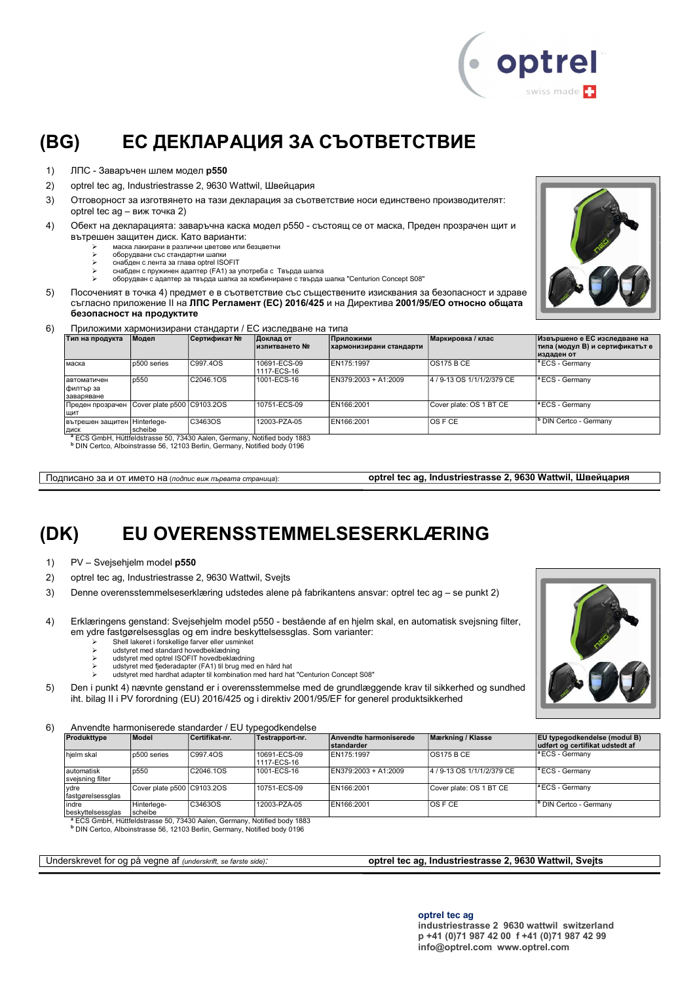

### (BG) ЕС ДЕКЛАРАЦИЯ ЗА СЪОТВЕТСТВИЕ

- 1) ЛПС Заваръчен шлем модел р550
- 2) optrel tec ag, Industriestrasse 2, 9630 Wattwil, Швейцария
- 3) Отговорност за изготвянето на тази декларация за съответствие носи единствено производителят: optrel tec ag – виж точка 2)
- 4) Обект на декларацията: заваръчна каска модел p550 състоящ се от маска, Преден прозрачен щит и вътрешен защитен диск. Като варианти:
	- маска лакирани в различни цветове или безцветни
	- оборудвани със стандартни шапки снабден с лента за глава optrel ISOFIT
	- снабден с пружинен адаптер (FA1) за употреба с Твърда шапка оборудван с адаптер за твърда шапка за комбиниране с твърда шапка "Centurion Concept S08"
- 5) Посоченият в точка 4) предмет е в съответствие със съществените изисквания за безопасност и здраве съгласно приложение ІІ на ЛПС Регламент (ЕС) 2016/425 и на Директива 2001/95/ЕО относно общата безопасност на продуктите



6) Приложими хармонизирани стандарти / ЕС изследване на типа

| Тип на продукта                          | Модел                      | Сертификат №                                                                            | Доклад от<br>∣изпитването № | Приложими<br>хармонизирани стандарти | Иаркировка / клас          | Извършено е ЕС изследване на<br>типа (модул В) и сертификатът е |
|------------------------------------------|----------------------------|-----------------------------------------------------------------------------------------|-----------------------------|--------------------------------------|----------------------------|-----------------------------------------------------------------|
|                                          |                            |                                                                                         |                             |                                      |                            | издаден от                                                      |
| маска                                    | p500 series                | C997.4OS                                                                                | 10691-ECS-09<br>1117-ECS-16 | EN175:1997                           | <b>OS175 B CE</b>          | <sup>a</sup> ECS - Germany                                      |
| Іавтоматичен<br> филтър за<br>заваряване | p550                       | C2046.1OS                                                                               | 1001-ECS-16                 | EN379:2003 + A1:2009                 | 4 / 9-13 OS 1/1/1/2/379 CE | <sup>a</sup> ECS - Germany                                      |
| Преден прозрачен<br>ШИТ                  | Cover plate p500 C9103.2OS |                                                                                         | 10751-ECS-09                | EN166:2001                           | Cover plate: OS 1 BT CE    | <sup>a</sup> ECS - Germany                                      |
| вътрешен защитен Hinterlege-<br>ДИСК     | scheibe                    | C3463OS<br>8 FOO Opphill Hottfeldstreams FO 79490 Agles, Ontworper, Netfield bady 4009. | 12003-PZA-05                | EN166:2001                           | IOS F CE                   | <sup>I</sup> <sup>b</sup> DIN Certco - Germany                  |

<sup>a</sup> ECS GmbH, Hüttfeldstrasse 50, 73430 Aalen, Germany, Notified body 1883<br><sup>b</sup> DIN Certco, Alboinstrasse 56, 12103 Berlin, Germany, Notified body 0196

Подписано за и от името на (подпис виж първата страница): **optrel tec ag, Industriestrasse 2, 9630 Wattwil, Швейцария** 

### (DK) EU OVERENSSTEMMELSESERKLÆRING

- 1) PV Svejsehjelm model p550
- 2) optrel tec ag, Industriestrasse 2, 9630 Wattwil, Svejts
- 3) Denne overensstemmelseserklæring udstedes alene på fabrikantens ansvar: optrel tec ag se punkt 2)
- 4) Erklæringens genstand: Svejsehjelm model p550 bestående af en hjelm skal, en automatisk svejsning filter, em ydre fastgørelsessglas og em indre beskyttelsessglas. Som varianter:
	- Shell lakeret i forskellige farver eller usminket
	-
	-
	- idstyret med standard hovedbeklædning<br>خاص udstyret med optrel ISOFIT hovedbeklædning<br>خاص udstyret med fjederadapter (FA1) til brug med en hård hat<br>خاص udstyret med hardhat adapter til kombination med hard hat "Centurion
- 5) Den i punkt 4) nævnte genstand er i overensstemmelse med de grundlæggende krav til sikkerhed og sundhed iht. bilag II i PV forordning (EU) 2016/425 og i direktiv 2001/95/EF for generel produktsikkerhed

6) Anvendte harmoniserede standarder / EU typegodkendelse

| Produkttype                     | Model                      | Certifikat nr. | Testrapport-nr.             | Anvendte harmoniserede<br><b>Istandarder</b> | Mærkning / Klasse          | <b>EU</b> typegodkendelse (modul B)<br>udført og certifikat udstedt af |
|---------------------------------|----------------------------|----------------|-----------------------------|----------------------------------------------|----------------------------|------------------------------------------------------------------------|
| hjelm skal                      | p500 series                | C997.40S       | 10691-ECS-09<br>1117-ECS-16 | EN175:1997                                   | <b>OS175 B CE</b>          | $ $ <sup>a</sup> ECS - Germany                                         |
| lautomatisk<br>svejsning filter | p550                       | C2046.1OS      | 1001-ECS-16                 | EN379:2003 + A1:2009                         | 4 / 9-13 OS 1/1/1/2/379 CE | $ $ <sup>a</sup> ECS - Germany                                         |
| vdre<br>fastgørelsessglas       | Cover plate p500 C9103.2OS |                | 10751-ECS-09                | EN166:2001                                   | Cover plate: OS 1 BT CE    | $ $ <sup>a</sup> ECS - Germany                                         |
| indre<br>beskyttelsessglas      | Hinterlege-<br>scheibe     | C3463OS        | 12003-PZA-05                | EN166:2001                                   | IOS F CE                   | <sup>b</sup> DIN Certco - Germany                                      |

<sup>a</sup> ECS GmbH, Hüttfeldstrasse 50, 73430 Aalen, Germany, Notified body 1883<br><sup>b</sup> DIN Certco, Alboinstrasse 56, 12103 Berlin, Germany, Notified body 0196

Underskrevet for og på vegne af (underskrift, se første side): **optrel tec ag, Industriestrasse 2, 9630 Wattwil, Svejts** 

industriestrasse 2 9630 wattwil switzerland p +41 (0)71 987 42 00 f +41 (0)71 987 42 99 info@optrel.com www.optrel.com

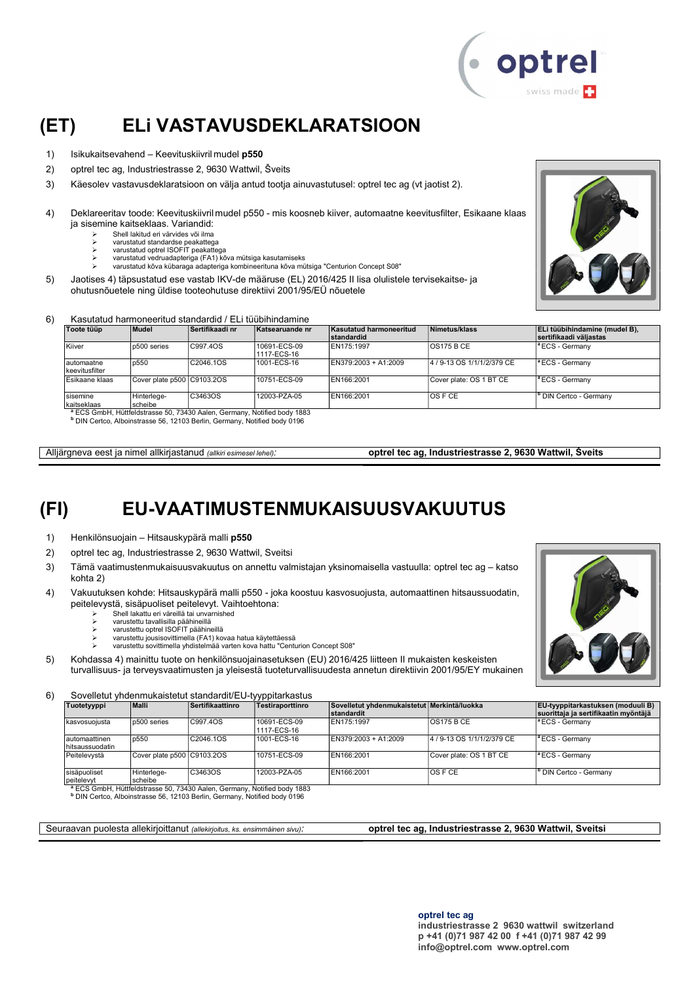

### (ET) ELi VASTAVUSDEKLARATSIOON

- 1) Isikukaitsevahend Keevituskiivril mudel p550
- 2) optrel tec ag, Industriestrasse 2, 9630 Wattwil, Šveits
- 3) Käesolev vastavusdeklaratsioon on välja antud tootja ainuvastutusel: optrel tec ag (vt jaotist 2).
- 4) Deklareeritav toode: Keevituskiivril mudel p550 mis koosneb kiiver, automaatne keevitusfilter, Esikaane klaas ja sisemine kaitseklaas. Variandid:
	- $\geq$  Shell lakitud eri värvides või ilma
		- varustatud standardse peakattega varustatud optrel ISOFIT peakattega
	- varustatud vedruadapteriga (FA1) kõva mütsiga kasutamiseks
	- varustatud kõva kübaraga adapteriga kombineerituna kõva mütsiga "Centurion Concept S08"
- 5) Jaotises 4) täpsustatud ese vastab IKV-de määruse (EL) 2016/425 II lisa olulistele tervisekaitse- ja ohutusnõuetele ning üldise tooteohutuse direktiivi 2001/95/EÜ nõuetele



#### 6) Kasutatud harmoneeritud standardid / ELi tüübihindamine

| Toote tüüp                    | Mudel                      | Sertifikaadi nr         | Katsearuande nr             | Kasutatud harmoneeritud | Nimetus/klass              | ELi tüübihindamine (mudel B),       |
|-------------------------------|----------------------------|-------------------------|-----------------------------|-------------------------|----------------------------|-------------------------------------|
|                               |                            |                         |                             | standardid              |                            | sertifikaadi väliastas              |
| Kiiver                        | p500 series                | C997.40S                | 10691-ECS-09<br>1117-ECS-16 | EN175:1997              | <b>OS175 B CE</b>          | $\vert$ <sup>a</sup> ECS - Germany  |
| lautomaatne<br>keevitusfilter | p550                       | C2046.1OS               | 1001-ECS-16                 | EN379:2003 + A1:2009    | 4 / 9-13 OS 1/1/1/2/379 CE | <sup>a</sup> ECS - Germany          |
| Esikaane klaas                | Cover plate p500 C9103.2OS |                         | 10751-ECS-09                | EN166:2001              | Cover plate: OS 1 BT CE    | <sup>a</sup> ECS - Germany          |
| sisemine                      | Hinterlege-                | C3463OS                 | 12003-PZA-05                | EN166:2001              | IOS F CE                   | I <sup>B</sup> DIN Certco - Germany |
| İkaitseklaas                  | scheibe                    |                         |                             |                         |                            |                                     |
|                               |                            | $3 - 0.00$ $111$ $1111$ |                             |                         |                            |                                     |

<sup>a</sup> ECS GmbH, Hüttfeldstrasse 50, 73430 Aalen, Germany, Notified body 1883<br><sup>b</sup> DIN Certco, Alboinstrasse 56, 12103 Berlin, Germany, Notified body 0196

Alljärgneva eest ja nimel allkirjastanud (allkiri esimesel lehel): optrel tec ag, Industriestrasse 2, 9630 Wattwil, Šveits

#### (FI) EU-VAATIMUSTENMUKAISUUSVAKUUTUS

1) Henkilönsuojain – Hitsauskypärä malli p550

- 2) optrel tec ag, Industriestrasse 2, 9630 Wattwil, Sveitsi
- 3) Tämä vaatimustenmukaisuusvakuutus on annettu valmistajan yksinomaisella vastuulla: optrel tec ag katso kohta 2)
- 4) Vakuutuksen kohde: Hitsauskypärä malli p550 joka koostuu kasvosuojusta, automaattinen hitsaussuodatin, peitelevystä, sisäpuoliset peitelevyt. Vaihtoehtona:
	- Shell lakattu eri väreillä tai unvarnished
	- varustettu tavallisilla päähineillä varustettu optrel ISOFIT päähineillä
	-
	- varustettu jousisovittimella (FA1) kovaa hatua käytettäessä varustettu sovittimella yhdistelmää varten kova hattu "Centurion Concept S08"

5) Kohdassa 4) mainittu tuote on henkilönsuojainasetuksen (EU) 2016/425 liitteen II mukaisten keskeisten turvallisuus- ja terveysvaatimusten ja yleisestä tuoteturvallisuudesta annetun direktiivin 2001/95/EY mukainen

6) Sovelletut yhdenmukaistetut standardit/EU-tyyppitarkastus

| Tuotetyyppi                        | <b>Malli</b>               | Sertifikaattinro | Testiraporttinro            | Sovelletut yhdenmukaistetut Merkintä/luokka<br>standardit |                            | <b>EU-tyyppitarkastuksen (moduuli B)</b><br>suorittaja ja sertifikaatin myöntäjä |
|------------------------------------|----------------------------|------------------|-----------------------------|-----------------------------------------------------------|----------------------------|----------------------------------------------------------------------------------|
| kasvosuoiusta                      | p500 series                | C997.4OS         | 10691-ECS-09<br>1117-ECS-16 | EN175:1997                                                | <b>OS175 B CE</b>          | $\vert$ <sup>a</sup> ECS - Germany                                               |
| Iautomaattinen<br>Ihitsaussuodatin | p550                       | C2046.1OS        | 1001-ECS-16                 | $EN379:2003 + A1:2009$                                    | 4 / 9-13 OS 1/1/1/2/379 CE | $\vert$ <sup>a</sup> ECS - Germany                                               |
| Peitelevystä                       | Cover plate p500 C9103.2OS |                  | 10751-ECS-09                | EN166:2001                                                | Cover plate: OS 1 BT CE    | $\vert$ <sup>a</sup> ECS - Germany                                               |
| sisäpuoliset<br><b>peitelevvt</b>  | Hinterlege-<br>scheibe     | C3463OS          | 12003-PZA-05                | EN166:2001                                                | IOS F CE                   | <sup>b</sup> DIN Certco - Germany                                                |

peitelevyt<br>قطاع ECS GmbH, Hüttfeldstrasse 50, 73430 Aalen, Germany, Notified body 1883<br>Bill Certco, Alboinstrasse 56, 12103 Berlin, Germany, Notified body 0196

Seuraavan puolesta allekirjoittanut (allekirjoitus, ks. ensimmäinen sivu): **optrel tec ag, Industriestrasse 2, 9630 Wattwil, Sveitsi** 

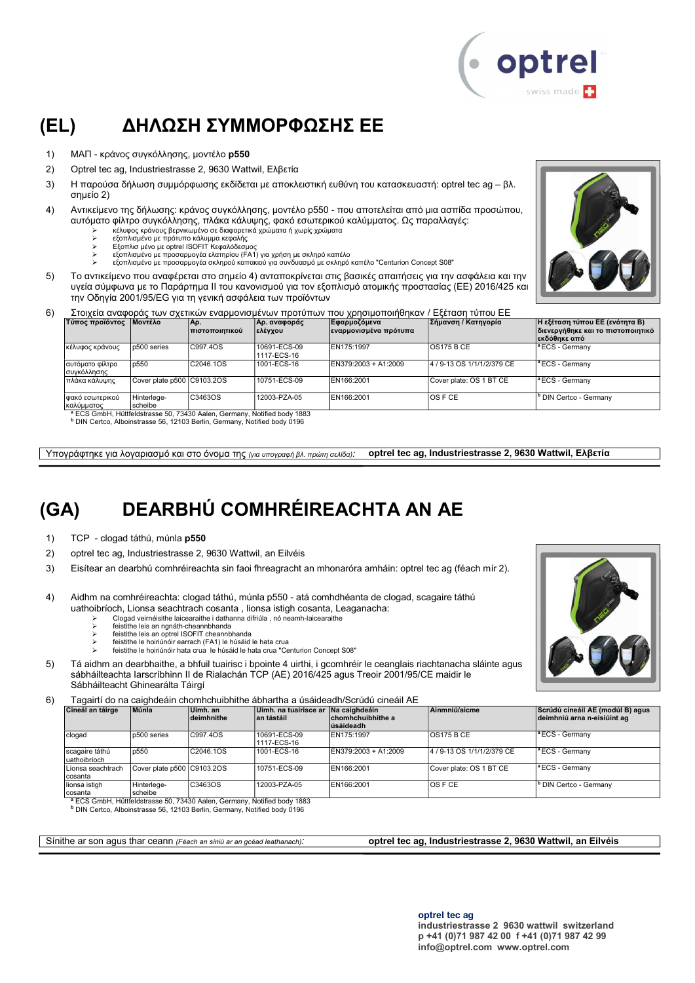

### (EL) ΔΗΛΩΣΗ ΣΥΜΜΟΡΦΩΣΗΣ ΕΕ

- 1) ΜΑΠ κράνος συγκόλλησης, μοντέλο p550
- 2) Optrel tec ag, Industriestrasse 2, 9630 Wattwil, Ελβετία
- 3) Η παρούσα δήλωση συμμόρφωσης εκδίδεται με αποκλειστική ευθύνη του κατασκευαστή: optrel tec ag βλ. σημείο 2)
- 4) Αντικείμενο της δήλωσης: κράνος συγκόλλησης, μοντέλο p550 που αποτελείται από μια ασπίδα προσώπου, αυτόματο φίλτρο συγκόλλησης, πλάκα κάλυψης, φακό εσωτερικού καλύμματος. Ως παραλλαγές:
	- κέλυφος κράνους βερνικωμένο σε διαφορετικά χρώματα ή χωρίς χρώματα εξοπλισμένο με πρότυπο κάλυμμα κεφαλής
	-
	- Εξοπλισ μένο με optrel ISOFIT Κεφαλόδεσμος
	- εξοπλισμένο με προσαρμογέα ελατηρίου (FA1) για χρήση με σκληρό καπέλο εξοπλισμένο με προσαρμογέα σκληρού καπακιού για συνδυασμό με σκληρό καπέλο "Centurion Concept S08"
- 5) Το αντικείμενο που αναφέρεται στο σημείο 4) ανταποκρίνεται στις βασικές απαιτήσεις για την ασφάλεια και την υγεία σύμφωνα με το Παράρτημα II του κανονισμού για τον εξοπλισμό ατομικής προστασίας (ΕΕ) 2016/425 και την Οδηγία 2001/95/EG για τη γενική ασφάλεια των προϊόντων



6) Στοιχεία αναφοράς των σχετικών εναρμονισμένων προτύπων που χρησιμοποιήθηκαν / Εξέταση τύπου ΕΕ

| Τύπος προϊόντος                  | <b>ΠΜοντέλο</b>            | IΑρ.<br><u>Ι πιστοποιητικού</u>                                                     | Αρ. αναφοράς<br> ελέγχου    | Εφαρμοζόμεν <b>α</b><br> εναρμονισμένα πρότυπα | Σήμανση / Κατηγορία        | Η εξέταση τύπου ΕΕ (ενότητα Β)<br>διενεργήθηκε και το πιστοποιητικό<br>∣εκδόθηκε από |
|----------------------------------|----------------------------|-------------------------------------------------------------------------------------|-----------------------------|------------------------------------------------|----------------------------|--------------------------------------------------------------------------------------|
| κέλυφος κράνους                  | p500 series                | C997.4OS                                                                            | 10691-ECS-09<br>1117-ECS-16 | EN175:1997                                     | IOS175 B CE                | <sup>a</sup> ECS - Germany                                                           |
| αυτόματο φίλτρο<br>συγκόλλησης   | p550                       | C2046.1OS                                                                           | 1001-ECS-16                 | EN379:2003 + A1:2009                           | 4 / 9-13 OS 1/1/1/2/379 CE | <sup>a</sup> ECS - Germany                                                           |
| πλάκα κάλυψης                    | Cover plate p500 C9103.2OS |                                                                                     | 10751-ECS-09                | EN166:2001                                     | Cover plate: OS 1 BT CE    | <sup>1ª</sup> ECS - Germany                                                          |
| Ι φακό εσωτερικού<br> καλύμματος | Hinterlege-<br>scheibe     | C3463OS                                                                             | 12003-PZA-05                | EN166:2001                                     | <b>OSFCE</b>               | <sup>b</sup> DIN Certco - Germany                                                    |
|                                  |                            | <sup>8</sup> ECS CmbH, Hüttfeldstrasse 50, 73430 Aalen, Cermany, Notified body 1883 |                             |                                                |                            |                                                                                      |

<sup>a</sup> ECS GmbH, Hüttfeldstrasse 50, 73430 Aalen, Germany, Notified body 1883<br><sup>b</sup> DIN Certco, Alboinstrasse 56, 12103 Berlin, Germany, Notified body 0196

Υπογράφτηκε για λογαριασμό και στο όνομα της (για υπογραφή βλ. πρώτη σελίδα): optrel tec ag, Industriestrasse 2, 9630 Wattwil, Ελβετία

# (GA) DEARBHÚ COMHRÉIREACHTA AN AE

1) TCP - clogad táthú, múnla p550

- 2) optrel tec ag, Industriestrasse 2, 9630 Wattwil, an Eilvéis
- 3) Eisítear an dearbhú comhréireachta sin faoi fhreagracht an mhonaróra amháin: optrel tec ag (féach mír 2).
- 4) Aidhm na comhréireachta: clogad táthú, múnla p550 atá comhdhéanta de clogad, scagaire táthú uathoibríoch, Lionsa seachtrach cosanta , lionsa istigh cosanta, Leaganacha:
	- Clogad veirnéisithe laicearaithe i dathanna difriúla , nó neamh-laicearaithe feistithe leis an ngnáth-cheannbhanda
	-
	- > feistithe leis an optrel ISOFIT cheannbhanda
	- feistithe le hoiriúnóir earrach (FA1) le húsáid le hata crua feistithe le hoiriúnóir hata crua le húsáid le hata crua "Centurion Concept S08"
- 5) Tá aidhm an dearbhaithe, a bhfuil tuairisc i bpointe 4 uirthi, i gcomhréir le ceanglais riachtanacha sláinte agus sábháilteachta Iarscríbhinn II de Rialachán TCP (AE) 2016/425 agus Treoir 2001/95/CE maidir le Sábháilteacht Ghinearálta Táirgí

6) Tagairtí do na caighdeáin chomhchuibhithe ábhartha a úsáideadh/Scrúdú cineáil AE

| Cineál an táirge                | Múnla                      | Uimh. an<br>deimhnithe | ∣Uimh. na tuairisce ar ∣Na caiɑhdeáin∣<br>∣an tástáil | chomhchuibhithe a<br>lúsáideadh | Ainmniú/aicme              | Scrúdú cineáil AE (modúl B) agus<br>deimhniú arna n-eisiúint ag |
|---------------------------------|----------------------------|------------------------|-------------------------------------------------------|---------------------------------|----------------------------|-----------------------------------------------------------------|
| clogad                          | p500 series                | C997.4OS               | 10691-ECS-09<br>1117-ECS-16                           | EN175:1997                      | OS175 B CE                 | $ $ <sup>a</sup> ECS - Germany                                  |
| scagaire táthú<br>luathoibríoch | p550                       | C2046.1OS              | 1001-ECS-16                                           | EN379:2003 + A1:2009            | 4 / 9-13 OS 1/1/1/2/379 CE | $\vert$ <sup>a</sup> ECS - Germany                              |
| Lionsa seachtrach<br>cosanta    | Cover plate p500 C9103.2OS |                        | 10751-ECS-09                                          | EN166:2001                      | Cover plate: OS 1 BT CE    | $\vert$ <sup>a</sup> ECS - Germany                              |
| lionsa istigh<br>cosanta        | Hinterlege-<br>scheibe     | C3463OS                | 12003-PZA-05                                          | EN166:2001                      | OS F CE                    | <sup>b</sup> DIN Certco - Germany                               |

cosanta scheibe <sup>a</sup> ECS GmbH, Hüttfeldstrasse 50, 73430 Aalen, Germany, Notified body 1883 b DIN Certco, Alboinstrasse 56, 12103 Berlin, Germany, Notified body 0196

Sínithe ar son agus thar ceann (Féach an síniú ar an gcéad leathanach): **optrel tec ag, Industriestrasse 2, 9630 Wattwil, an Eilvéis** 

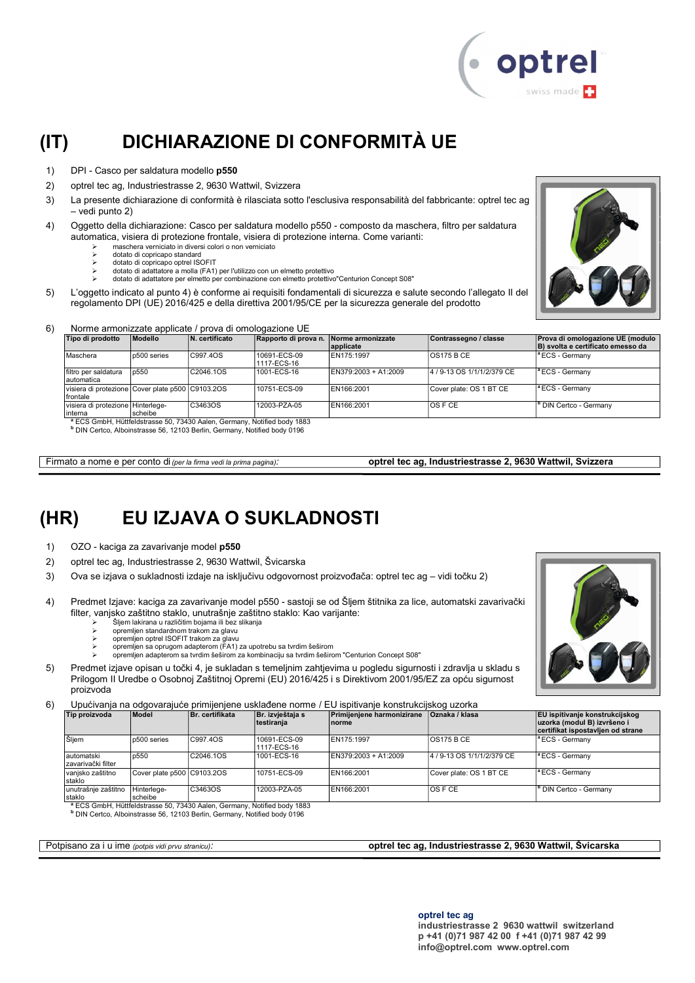

# (IT) DICHIARAZIONE DI CONFORMITÀ UE

- 1) DPI Casco per saldatura modello p550
- 2) optrel tec ag, Industriestrasse 2, 9630 Wattwil, Svizzera
- 3) La presente dichiarazione di conformità è rilasciata sotto l'esclusiva responsabilità del fabbricante: optrel tec ag – vedi punto 2)
- 4) Oggetto della dichiarazione: Casco per saldatura modello p550 composto da maschera, filtro per saldatura automatica, visiera di protezione frontale, visiera di protezione interna. Come varianti:
	- maschera verniciato in diversi colori o non verniciato
	- dotato di copricapo standard dotato di copricapo optrel ISOFIT
	- dotato di adattatore a molla (FA1) per l'utilizzo con un elmetto protettivo
	- dotato di adattatore per elmetto per combinazione con elmetto protettivo"Centurion Concept S08"
- 5) L'oggetto indicato al punto 4) è conforme ai requisiti fondamentali di sicurezza e salute secondo l'allegato II del regolamento DPI (UE) 2016/425 e della direttiva 2001/95/CE per la sicurezza generale del prodotto



#### 6) Norme armonizzate applicate / prova di omologazione UE

| Tipo di prodotto                                             | Modello     | N. certificato                                                                      | Rapporto di prova n. Norme armonizzate | applicate            | Contrassegno / classe      | Prova di omologazione UE (modulo<br>B) svolta e certificato emesso da |
|--------------------------------------------------------------|-------------|-------------------------------------------------------------------------------------|----------------------------------------|----------------------|----------------------------|-----------------------------------------------------------------------|
| Maschera                                                     | p500 series | C997.4OS                                                                            | 10691-ECS-09<br>1117-ECS-16            | EN175:1997           | <b>OS175 B CE</b>          | <sup>a</sup> ECS - Germanv                                            |
| filtro per saldatura<br>automatica                           | p550        | C2046.1OS                                                                           | 1001-ECS-16                            | EN379:2003 + A1:2009 | 4 / 9-13 OS 1/1/1/2/379 CE | <sup>a</sup> ECS - Germany                                            |
| visiera di protezione Cover plate p500 C9103.2OS<br>frontale |             |                                                                                     | 10751-ECS-09                           | EN166:2001           | Cover plate: OS 1 BT CE    | <sup>a</sup> ECS - Germany                                            |
| visiera di protezione Hinterlege-                            |             | C3463OS                                                                             | 12003-PZA-05                           | EN166:2001           | <b>OS F CE</b>             | <sup>b</sup> DIN Certco - Germany                                     |
| interna                                                      | scheibe     |                                                                                     |                                        |                      |                            |                                                                       |
|                                                              |             | <sup>8</sup> FCS GmbH, Hüttfeldstrasse 50, 73430 Aalen, Germany, Notified body 1883 |                                        |                      |                            |                                                                       |

<sup>a</sup> ECS GmbH, Hüttfeldstrasse 50, 73430 Aalen, Germany, Notified body 1883<br><sup>b</sup> DIN Certco, Alboinstrasse 56, 12103 Berlin, Germany, Notified body 0196

Firmato a nome e per conto di (per la firma vedi la prima pagina): optrel tec ag, Industriestrasse 2, 9630 Wattwil, Svizzera

### (HR) EU IZJAVA O SUKLADNOSTI

- 1) OZO kaciga za zavarivanje model p550
- 2) optrel tec ag, Industriestrasse 2, 9630 Wattwil, Švicarska
- 3) Ova se izjava o sukladnosti izdaje na isključivu odgovornost proizvođača: optrel tec ag vidi točku 2)
- 4) Predmet Izjave: kaciga za zavarivanje model p550 sastoji se od Šljem štitnika za lice, automatski zavarivački filter, vanjsko zaštitno staklo, unutrašnje zaštitno staklo: Kao varijante:
	- $\triangleright$  Sljem lakirana u različitim bojama ili bez slikanja<br> $\triangleright$  opremlien standardnom trakom za glavu
	- opremljen standardnom trakom za glavu
	-
	- opremljen optrel ISOFIT trakom za glavu opremljen sa oprugom adapterom (FA1) za upotrebu sa tvrdim šeširom opremljen adapterom sa tvrdim šeširom za kombinaciju sa tvrdim šeširom "Centurion Concept S08"
- 5) Predmet izjave opisan u točki 4, je sukladan s temeljnim zahtjevima u pogledu sigurnosti i zdravlja u skladu s Prilogom II Uredbe o Osobnoj Zaštitnoj Opremi (EU) 2016/425 i s Direktivom 2001/95/EZ za opću sigurnost proizvoda

6) Upućivanja na odgovarajuće primijenjene usklađene norme / EU ispitivanje konstrukcijskog uzorka

| Tip proizvoda                     | Model                      | Br. certifikata | Br. izvještaja s<br>Itestirania | Primileniene harmonizirane<br>Inorme | <b>Oznaka / klasa</b>      | <b>EU</b> ispitivanje konstrukcijskog<br>uzorka (modul B) izvršeno i<br>certifikat ispostavljen od strane |
|-----------------------------------|----------------------------|-----------------|---------------------------------|--------------------------------------|----------------------------|-----------------------------------------------------------------------------------------------------------|
| Sljem                             | p500 series                | C997.4OS        | 10691-ECS-09<br>1117-ECS-16     | EN175:1997                           | IOS175 B CE                | $\vert$ <sup>a</sup> ECS - Germany                                                                        |
| automatski<br>Izavarivački filter | p550                       | C2046.1OS       | 1001-ECS-16                     | EN379:2003 + A1:2009                 | 4 / 9-13 OS 1/1/1/2/379 CE | <sup>a</sup> ECS - Germany                                                                                |
| Ivanisko zaštitno<br>staklo       | Cover plate p500 C9103.2OS |                 | 10751-ECS-09                    | EN166:2001                           | Cover plate: OS 1 BT CE    | $\vert$ <sup>a</sup> ECS - Germany                                                                        |
| unutrašnje zaštitno<br>staklo     | Hinterlege-<br>scheibe     | C3463OS         | 12003-PZA-05                    | EN166:2001                           | IOS F CE                   | <sup>I</sup> <sup>b</sup> DIN Certco - Germany                                                            |

staklo scheibe <sup>a</sup> ECS GmbH, Hüttfeldstrasse 50, 73430 Aalen, Germany, Notified body 1883 b DIN Certco, Alboinstrasse 56, 12103 Berlin, Germany, Notified body 0196

Potpisano za i u ime (potpis vidi prvu stranicu): optrel tec ag, Industriestrasse 2, 9630 Wattwil, Švicarska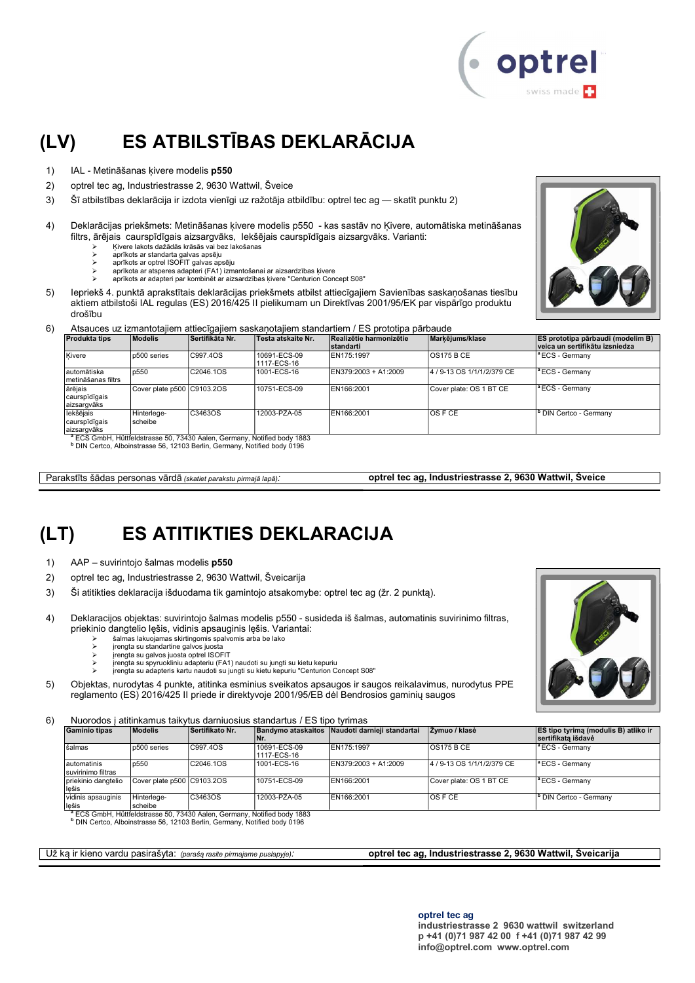

# (LV) ES ATBILSTĪBAS DEKLARĀCIJA

- 1) IAL Metināšanas ķivere modelis p550
- 2) optrel tec ag, Industriestrasse 2, 9630 Wattwil, Šveice
- 3) Šī atbilstības deklarācija ir izdota vienīgi uz ražotāja atbildību: optrel tec ag skatīt punktu 2)
- 4) Deklarācijas priekšmets: Metināšanas ķivere modelis p550 kas sastāv no Ķivere, automātiska metināšanas filtrs, ārējais caurspīdīgais aizsargvāks, Iekšējais caurspīdīgais aizsargvāks. Varianti:
	- Ķivere lakots dažādās krāsās vai bez lakošanas
	- aprīkots ar standarta galvas apsēju aprīkots ar optrel ISOFIT galvas apsēju
	- aprīkota ar atsperes adapteri (FA1) izmantošanai ar aizsardzības ķivere
	- aprīkots ar adapteri par kombinēt ar aizsardzības ķivere "Centurion Concept S08"
- 5) Iepriekš 4. punktā aprakstītais deklarācijas priekšmets atbilst attiecīgajiem Savienības saskaņošanas tiesību aktiem atbilstoši IAL regulas (ES) 2016/425 II pielikumam un Direktīvas 2001/95/EK par vispārīgo produktu drošību
- 6) Atsauces uz izmantotajiem attiecīgajiem saskaņotajiem standartiem / ES prototipa pārbaude

| <b>Produkta tips</b>                       | <b>Modelis</b>             | Sertifikāta Nr. | Testa atskaite Nr.          | Realizētie harmonizētie<br><b>standarti</b> | Markējums/klase            | <b>ES prototipa pārbaudi (modelim B)</b><br>veica un sertifikātu izsniedza |
|--------------------------------------------|----------------------------|-----------------|-----------------------------|---------------------------------------------|----------------------------|----------------------------------------------------------------------------|
| Kivere                                     | p500 series                | C997.4OS        | 10691-ECS-09<br>1117-ECS-16 | EN175:1997                                  | <b>OS175 B CE</b>          | <sup>a</sup> ECS - Germany                                                 |
| lautomātiska<br>Imetināšanas filtrs        | p550                       | C2046.1OS       | 1001-ECS-16                 | EN379:2003 + A1:2009                        | 4 / 9-13 OS 1/1/1/2/379 CE | <sup>a</sup> ECS - Germany                                                 |
| ārējais<br>caurspīdīgais<br>aizsargvāks    | Cover plate p500 C9103.2OS |                 | 10751-ECS-09                | EN166:2001                                  | Cover plate: OS 1 BT CE    | <sup>a</sup> ECS - Germany                                                 |
| lekšējais<br>caurspīdīgais<br>laizsargvāks | Hinterlege-<br>scheibe     | C3463OS         | 12003-PZA-05                | EN166:2001                                  | IOS F CE                   | <b>b</b> DIN Certco - Germany                                              |

aizsargvāks <sup>a</sup> ECS GmbH, Hüttfeldstrasse 50, 73430 Aalen, Germany, Notified body 1883

b DIN Certco, Alboinstrasse 56, 12103 Berlin, Germany, Notified body 0196

Parakstīts šādas personas vārdā (skatiet parakstu pirmajā lapā): optrel tec ag, Industriestrasse 2, 9630 Wattwil, Šveice

### (LT) ES ATITIKTIES DEKLARACIJA

- 1) AAP suvirintojo šalmas modelis p550
- 2) optrel tec ag, Industriestrasse 2, 9630 Wattwil, Šveicarija
- 3) Ši atitikties deklaracija išduodama tik gamintojo atsakomybe: optrel tec ag (žr. 2 punktą).
- 4) Deklaracijos objektas: suvirintojo šalmas modelis p550 susideda iš šalmas, automatinis suvirinimo filtras, priekinio dangtelio lęšis, vidinis apsauginis lęšis. Variantai:
	- šalmas lakuojamas skirtingomis spalvomis arba be lako
	- įrengta su standartine galvos juosta įrengta su galvos juosta optrel ISOFIT
	-
	- įrengta su spyruokliniu adapteriu (FA1) naudoti su jungti su kietu kepuriu įrengta su adapteris kartu naudoti su jungti su kietu kepuriu "Centurion Concept S08"
- 5) Objektas, nurodytas 4 punkte, atitinka esminius sveikatos apsaugos ir saugos reikalavimus, nurodytus PPE reglamento (ES) 2016/425 II priede ir direktyvoje 2001/95/EB dėl Bendrosios gaminių saugos

6) Nuorodos į atitinkamus taikytus darniuosius standartus / ES tipo tyrimas

| <b>Gaminio tipas</b>              | <b>Modelis</b>             | Sertifikato Nr. | ۱Nr.                        | Bandymo ataskaitos Naudoti darnieji standartai | Zvmuo / klasė              | <b>ES tipo tyrima (modulis B) atliko ir</b><br>sertifikata išdavė |  |
|-----------------------------------|----------------------------|-----------------|-----------------------------|------------------------------------------------|----------------------------|-------------------------------------------------------------------|--|
| šalmas                            | p500 series                | C997.40S        | 10691-ECS-09<br>1117-ECS-16 | EN175:1997                                     | OS175 B CE                 | <sup>1ª</sup> ECS - Germany                                       |  |
| automatinis<br>suvirinimo filtras | p550                       | C2046.1OS       | 1001-ECS-16                 | EN379:2003 + A1:2009                           | 4 / 9-13 OS 1/1/1/2/379 CE | <sup>1ª</sup> ECS - Germany                                       |  |
| priekinio dangtelio<br>lešis      | Cover plate p500 C9103.2OS |                 | 10751-ECS-09                | EN166:2001                                     | Cover plate: OS 1 BT CE    | $ $ <sup>a</sup> ECS - Germany                                    |  |
| vidinis apsauginis<br>lešis       | Hinterlege-<br>scheibe     | C3463OS         | 12003-PZA-05                | EN166:2001                                     | <b>OSFCE</b>               | <sup>b</sup> DIN Certco - Germany                                 |  |

<sup>a</sup> ECS GmbH, Hüttfeldstrasse 50, 73430 Aalen, Germany, Notified body 1883

b DIN Certco, Alboinstrasse 56, 12103 Berlin, Germany, Notified body 0196

Už ką ir kieno vardu pasirašyta: (parašą rasite pirmajame puslapyje): **optrel tec ag, Industriestrasse 2, 9630 Wattwil, Šveicarija** 

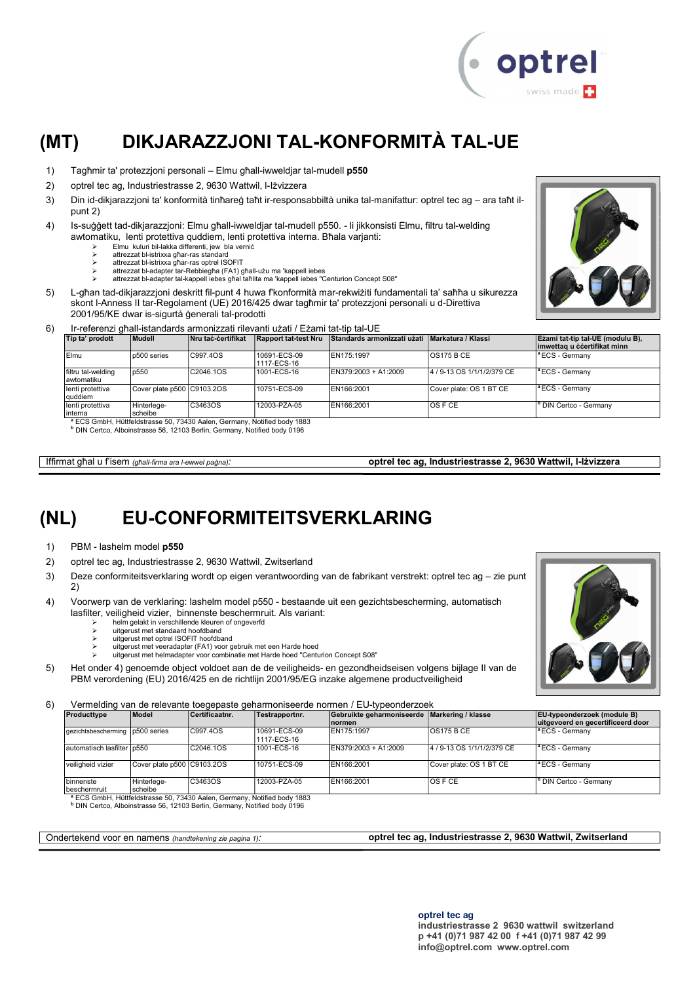

# (MT) DIKJARAZZJONI TAL-KONFORMITÀ TAL-UE

- 1) Tagħmir ta' protezzjoni personali Elmu għall-iwweldjar tal-mudell p550
- 2) optrel tec ag, Industriestrasse 2, 9630 Wattwil, l-Iżvizzera
- 3) Din id-dikjarazzjoni ta' konformità tinħareġ taħt ir-responsabbiltà unika tal-manifattur: optrel tec ag ara taħt ilpunt 2)
- 4) Is-suġġett tad-dikjarazzjoni: Elmu għall-iwweldjar tal-mudell p550. li jikkonsisti Elmu, filtru tal-welding awtomatiku, lenti protettiva quddiem, lenti protettiva interna. Bħala varjanti:
	- Elmu kuluri bil-lakka differenti, jew bla verniċ
	- attrezzat bl-istrixxa għar-ras standard attrezzat bl-istrixxa għar-ras optrel ISOFIT
	-
	- attrezzat bl-adapter tar-Rebbiegħa (FA1) għall-użu ma 'kappell iebes attrezzat bl-adapter tal-kappell iebes għal taħlita ma 'kappell iebes "Centurion Concept S08"
- 5) L-għan tad-dikjarazzjoni deskritt fil-punt 4 huwa f'konformità mar-rekwiżiti fundamentali ta' saħħa u sikurezza skont l-Anness II tar-Regolament (UE) 2016/425 dwar tagħmir ta' protezzjoni personali u d-Direttiva 2001/95/KE dwar is-sigurtà ġenerali tal-prodotti
- 6) Ir-referenzi għall-istandards armonizzati rilevanti użati / Eżami tat-tip tal-UE

| Tip ta' prodott                  | Mudell                     | Nru tač-čertifikat                                                                                                                                                                                                                                              | <b>Rapport tat-test Nru</b> | Standards armonizzati użati Markatura / Klassi |                            | Ezami tat-tip tal-UE (modulu B),<br>imwettag u ċċertifikat minn |
|----------------------------------|----------------------------|-----------------------------------------------------------------------------------------------------------------------------------------------------------------------------------------------------------------------------------------------------------------|-----------------------------|------------------------------------------------|----------------------------|-----------------------------------------------------------------|
| Elmu                             | p500 series                | C997.4OS                                                                                                                                                                                                                                                        | 10691-ECS-09<br>1117-ECS-16 | EN175:1997                                     | <b>OS175 B CE</b>          | <sup>la</sup> ECS - Germanv                                     |
| filtru tal-welding<br>awtomatiku | p550                       | C2046.1OS                                                                                                                                                                                                                                                       | 1001-ECS-16                 | EN379:2003 + A1:2009                           | 4 / 9-13 OS 1/1/1/2/379 CE | <sup>a</sup> ECS - Germany                                      |
| lenti protettiva<br>quddiem      | Cover plate p500 C9103.2OS |                                                                                                                                                                                                                                                                 | 10751-ECS-09                | EN166:2001                                     | Cover plate: OS 1 BT CE    | $ $ <sup>a</sup> ECS - Germany                                  |
| lenti protettiva<br>interna      | Hinterlege-<br>scheibe     | C3463OS                                                                                                                                                                                                                                                         | 12003-PZA-05                | EN166:2001                                     | IOS F CE                   | <sup>b</sup> DIN Certco - Germany                               |
|                                  |                            | $3 - 0.00$ $\leq$ $\leq$ $\leq$ $\leq$ $\leq$ $\leq$ $\leq$ $\leq$ $\leq$ $\leq$ $\leq$ $\leq$ $\leq$ $\leq$ $\leq$ $\leq$ $\leq$ $\leq$ $\leq$ $\leq$ $\leq$ $\leq$ $\leq$ $\leq$ $\leq$ $\leq$ $\leq$ $\leq$ $\leq$ $\leq$ $\leq$ $\leq$ $\leq$ $\leq$ $\leq$ |                             |                                                |                            |                                                                 |

<sup>a</sup> ECS GmbH, Hüttfeldstrasse 50, 73430 Aalen, Germany, Notified body 1883<br><sup>b</sup> DIN Certco, Alboinstrasse 56, 12103 Berlin, Germany, Notified body 0196

Iffirmat għal u f'isem (għall-firma ara l-ewwel paġna): **optrel tec ag, Industriestrasse 2, 9630 Wattwil, I-Iżvizzera** 

### (NL) EU-CONFORMITEITSVERKLARING

- 1) PBM lashelm model p550
- 2) optrel tec ag, Industriestrasse 2, 9630 Wattwil, Zwitserland
- 3) Deze conformiteitsverklaring wordt op eigen verantwoording van de fabrikant verstrekt: optrel tec ag zie punt 2)
- 4) Voorwerp van de verklaring: lashelm model p550 bestaande uit een gezichtsbescherming, automatisch lasfilter, veiligheid vizier, binnenste beschermruit. Als variant:
	- helm gelakt in verschillende kleuren of ongeverfd<br>
	> helm gelakt in verschillende kleuren of ongeverfd<br>
	> uitgerust met standaard hoofdband
	- uitgerust met standaard hoofdband uitgerust met optrel ISOFIT hoofdband
	-
	- uitgerust met veeradapter (FA1) voor gebruik met een Harde hoed uitgerust met helmadapter voor combinatie met Harde hoed "Centurion Concept S08"
- 5) Het onder 4) genoemde object voldoet aan de de veiligheids- en gezondheidseisen volgens bijlage II van de PBM verordening (EU) 2016/425 en de richtlijn 2001/95/EG inzake algemene productveiligheid

6) Vermelding van de relevante toegepaste geharmoniseerde normen / EU-typeonderzoek

| Producttype                      | Model                      | Certificaatnr.                                                                                                                                                              | Testrapportnr.              | Gebruikte geharmoniseerde Markering / klasse<br>Inormen |                            | <b>EU-typeonderzoek (module B)</b><br>uitgevoerd en gecertificeerd door |
|----------------------------------|----------------------------|-----------------------------------------------------------------------------------------------------------------------------------------------------------------------------|-----------------------------|---------------------------------------------------------|----------------------------|-------------------------------------------------------------------------|
| gezichtsbescherming 1p500 series |                            | C997.4OS                                                                                                                                                                    | 10691-ECS-09<br>1117-ECS-16 | EN175:1997                                              | <b>OS175 B CE</b>          | <sup>a</sup> ECS - Germany                                              |
| automatisch lasfilter p550       |                            | C2046.1OS                                                                                                                                                                   | 1001-ECS-16                 | EN379:2003 + A1:2009                                    | 4 / 9-13 OS 1/1/1/2/379 CE | <sup>a</sup> ECS - Germany                                              |
| veiligheid vizier                | Cover plate p500 C9103.2OS |                                                                                                                                                                             | 10751-ECS-09                | EN166:2001                                              | Cover plate: OS 1 BT CE    | <sup>a</sup> ECS - Germany                                              |
| binnenste                        | Hinterlege-                | C3463OS                                                                                                                                                                     | 12003-PZA-05                | EN166:2001                                              | IOS F CE                   | DIN Certco - Germany                                                    |
| beschermruit                     | scheibe                    |                                                                                                                                                                             |                             |                                                         |                            |                                                                         |
|                                  |                            | <sup>a</sup> ECS GmbH, Hüttfeldstrasse 50, 73430 Aalen, Germany, Notified body 1883<br><sup>b</sup> DIN Certco, Alboinstrasse 56, 12103 Berlin, Germany, Notified body 0196 |                             |                                                         |                            |                                                                         |

Ondertekend voor en namens (handtekening zie pagina 1): **optrel tec ag, Industriestrasse 2, 9630 Wattwil, Zwitserland** 



optrel tec ag industriestrasse 2 9630 wattwil switzerland p +41 (0)71 987 42 00 f +41 (0)71 987 42 99 info@optrel.com www.optrel.com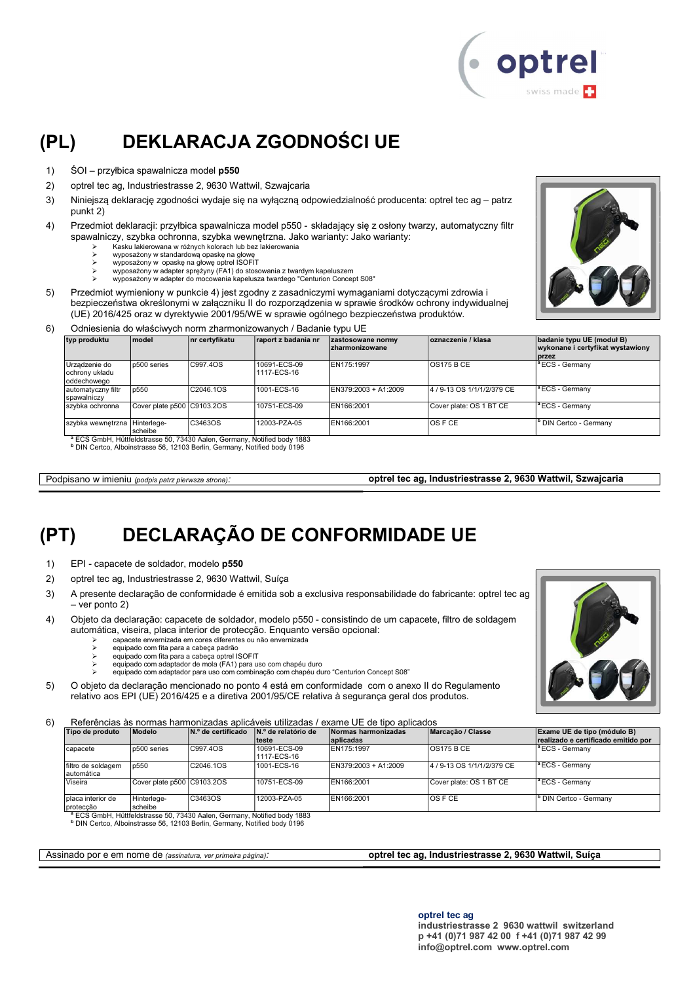

# (PL) DEKLARACJA ZGODNOŚCI UE

- 1) ŚOI przyłbica spawalnicza model p550
- 2) optrel tec ag, Industriestrasse 2, 9630 Wattwil, Szwajcaria
- 3) Niniejszą deklarację zgodności wydaje się na wyłączną odpowiedzialność producenta: optrel tec ag patrz punkt 2)
- 4) Przedmiot deklaracji: przyłbica spawalnicza model p550 składający się z osłony twarzy, automatyczny filtr spawalniczy, szybka ochronna, szybka wewnętrzna. Jako warianty: Jako warianty:
	- Kasku lakierowana w różnych kolorach lub bez lakierowania
	- wyposażony w standardową opaskę na głowę wyposażony w opaskę na głowę optrel ISOFIT
	- wyposażony w adapter sprężyny (FA1) do stosowania z twardym kapeluszem
	- wyposażony w adapter do mocowania kapelusza twardego "Centurion Concept S08"
- 5) Przedmiot wymieniony w punkcie 4) jest zgodny z zasadniczymi wymaganiami dotyczącymi zdrowia i bezpieczeństwa określonymi w załączniku II do rozporządzenia w sprawie środków ochrony indywidualnej (UE) 2016/425 oraz w dyrektywie 2001/95/WE w sprawie ogólnego bezpieczeństwa produktów.
- 6) Odniesienia do właściwych norm zharmonizowanych / Badanie typu UE

| typ produktu                                   | <b>model</b>               | nr certyfikatu                                                                      | raport z badania nr         | zastosowane normy<br><b>Izharmonizowane</b> | oznaczenie / klasa         | badanie typu UE (moduł B)<br>wykonane i certyfikat wystawiony<br><b>I</b> przez |
|------------------------------------------------|----------------------------|-------------------------------------------------------------------------------------|-----------------------------|---------------------------------------------|----------------------------|---------------------------------------------------------------------------------|
| Urządzenie do<br>ochrony układu<br>oddechowego | p500 series                | C997.4OS                                                                            | 10691-ECS-09<br>1117-ECS-16 | EN175:1997                                  | IOS175 B CE                | <sup>a</sup> ECS - Germany                                                      |
| automatyczny filtr<br>spawalniczy              | p550                       | C2046.1OS                                                                           | 1001-ECS-16                 | EN379:2003 + A1:2009                        | 4 / 9-13 OS 1/1/1/2/379 CE | $\vert$ <sup>a</sup> ECS - Germany                                              |
| szybka ochronna                                | Cover plate p500 C9103.2OS |                                                                                     | 10751-ECS-09                | EN166:2001                                  | Cover plate: OS 1 BT CE    | <sup>1ª</sup> ECS - Germany                                                     |
| szybka wewnętrzna Hinterlege-                  | Ischeibe                   | C3463OS                                                                             | 12003-PZA-05                | EN166:2001                                  | IOS F CE                   | <sup>b</sup> DIN Certco - Germany                                               |
|                                                |                            | <sup>a</sup> ECS GmbH, Hüttfeldstrasse 50, 73430 Aalen, Germany, Notified body 1883 |                             |                                             |                            |                                                                                 |

b DIN Certco, Alboinstrasse 56, 12103 Berlin, Germany, Notified body 0196

Podpisano w imieniu (podpis patrz pierwsza strona).

optrel tec ag, Industriestrasse 2, 9630 Wattwil, Szwajcaria

### (PT) DECLARAÇÃO DE CONFORMIDADE UE

- 1) EPI capacete de soldador, modelo p550
- 2) optrel tec ag, Industriestrasse 2, 9630 Wattwil, Suíça
- 3) A presente declaração de conformidade é emitida sob a exclusiva responsabilidade do fabricante: optrel tec ag – ver ponto 2)
- 4) Objeto da declaração: capacete de soldador, modelo p550 consistindo de um capacete, filtro de soldagem automática, viseira, placa interior de protecção. Enquanto versão opcional:
	- capacete envernizada em cores diferentes ou não envernizada
	- equipado com fita para a cabeça padrão
	-
	- ≽ equipado com fita para a cabeça optrel ISOFIT<br>> equipado com adaptador de mola (FA1) para uso com chapéu duro<br>> equipado com adaptador para uso com combinação com chapéu duro "Centurion Concept S08"
	-
- 5) O objeto da declaração mencionado no ponto 4 está em conformidade com o anexo II do Regulamento relativo aos EPI (UE) 2016/425 e a diretiva 2001/95/CE relativa à segurança geral dos produtos.

6) Referências às normas harmonizadas aplicáveis utilizadas / exame UE de tipo aplicados

| Tipo de produto                   | Modelo                     | N.º de certificado | $\mathsf{N}$ .º de relatório de | Normas harmonizadas    | Marcacão / Classe          | Exame UE de tipo (módulo B)         |
|-----------------------------------|----------------------------|--------------------|---------------------------------|------------------------|----------------------------|-------------------------------------|
|                                   |                            |                    | lteste                          | aplicadas              |                            | realizado e certificado emitido por |
| Icapacete                         | p500 series                | C997.40S           | 10691-ECS-09<br>11117-ECS-16    | EN175:1997             | $\overline{OS175B}$ CE     | <sup>a</sup> ECS - Germany          |
| filtro de soldagem<br>lautomática | p550                       | C2046.1OS          | 1001-ECS-16                     | $EN379:2003 + A1:2009$ | 4 / 9-13 OS 1/1/1/2/379 CE | $\vert$ <sup>a</sup> ECS - Germany  |
| Viseira                           | Cover plate p500 C9103.2OS |                    | 10751-ECS-09                    | EN166:2001             | Cover plate: OS 1 BT CE    | <sup>a</sup> ECS - Germany          |
| placa interior de<br>proteccão    | Hinterlege-<br>scheibe     | C3463OS            | 12003-PZA-05                    | EN166:2001             | IOS F CE                   | <sup>1</sup> DIN Certco - Germany   |

protecção scheibe <sup>a</sup> ECS GmbH, Hüttfeldstrasse 50, 73430 Aalen, Germany, Notified body 1883

b DIN Certco, Alboinstrasse 56, 12103 Berlin, Germany, Notified body 0196

Assinado por e em nome de (assinatura, ver primeira página): **optrel tec ag, Industriestrasse 2, 9630 Wattwil, Suíça** 

optrel tec ag

industriestrasse 2 9630 wattwil switzerland p +41 (0)71 987 42 00 f +41 (0)71 987 42 99 info@optrel.com www.optrel.com

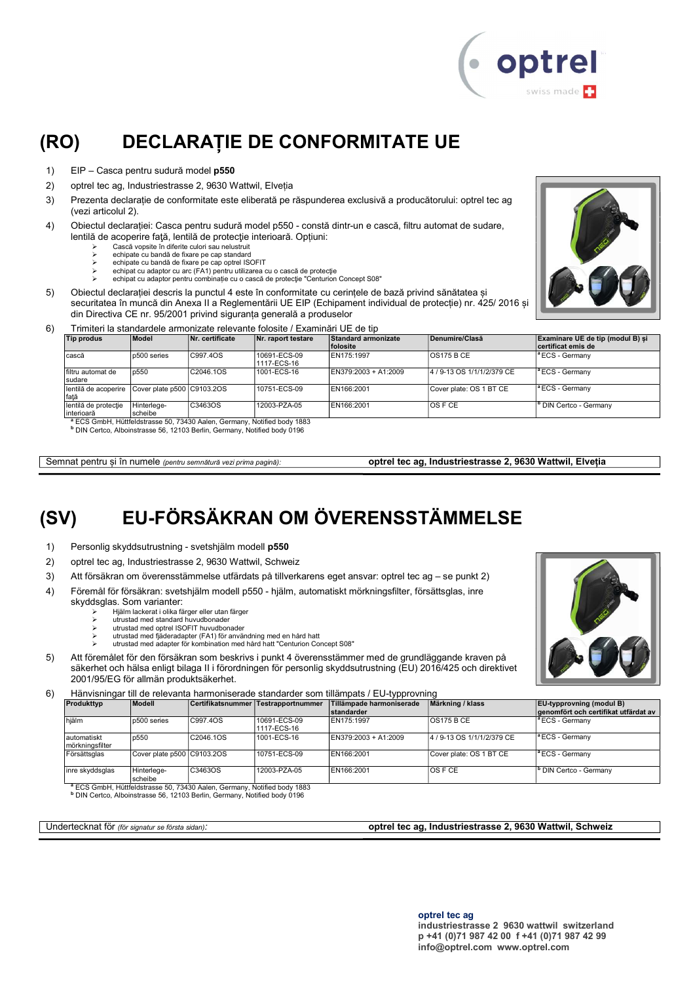

# (RO) DECLARAȚIE DE CONFORMITATE UE

- 1) EIP Casca pentru sudură model p550
- 2) optrel tec ag, Industriestrasse 2, 9630 Wattwil, Elveția
- 3) Prezenta declarație de conformitate este eliberată pe răspunderea exclusivă a producătorului: optrel tec ag (vezi articolul 2).
- 4) Obiectul declarației: Casca pentru sudură model p550 constă dintr-un e cască, filtru automat de sudare, lentilă de acoperire față, lentilă de protecție interioară. Opțiuni:
	- Cască vopsite în diferite culori sau nelustruit
	-
	- echipate cu bandă de fixare pe cap standard echipate cu bandă de fixare pe cap optrel ISOFIT echipat cu adaptor cu arc (FA1) pentru utilizarea cu o cască de protecţie
	- echipat cu adaptor pentru combinație cu o cască de protecție "Centurion Concept S08"
- 5) Obiectul declarației descris la punctul 4 este în conformitate cu cerințele de bază privind sănătatea și securitatea în muncă din Anexa II a Reglementării UE EIP (Echipament individual de protecție) nr. 425/ 2016 și din Directiva CE nr. 95/2001 privind siguranța generală a produselor



#### 6) Trimiteri la standardele armonizate relevante folosite / Examinări UE de tip

| <b>Tip produs</b>                                       | Model       | Nr. certificate                                                                      | Nr. raport testare          | Standard armonizate    | Denumire/Clasă             | Examinare UE de tip (modul B) si |
|---------------------------------------------------------|-------------|--------------------------------------------------------------------------------------|-----------------------------|------------------------|----------------------------|----------------------------------|
|                                                         |             |                                                                                      |                             | <b>folosite</b>        |                            | certificat emis de               |
| cască                                                   | p500 series | C997.4OS                                                                             | 10691-ECS-09<br>1117-ECS-16 | EN175:1997             | <b>OS175 B CE</b>          | <sup>a</sup> ECS - Germany       |
| filtru automat de<br>sudare                             | p550        | C2046.1OS                                                                            | 1001-ECS-16                 | $EN379:2003 + A1:2009$ | 4 / 9-13 OS 1/1/1/2/379 CE | $ $ <sup>a</sup> ECS - Germany   |
| lentilă de acoperire Cover plate p500 C9103.2OS<br>față |             |                                                                                      | 10751-ECS-09                | EN166:2001             | Cover plate: OS 1 BT CE    | <sup>a</sup> ECS - Germany       |
| lentilă de protecție                                    | Hinterlege- | C3463OS                                                                              | 12003-PZA-05                | EN166:2001             | $\overline{OSFCE}$         | DIN Certco - Germany             |
| interioară                                              | scheibe     |                                                                                      |                             |                        |                            |                                  |
|                                                         |             | <sup>a</sup> ECS GmbH, Hüttfeldstrasse 50, 73430 Aalen, Germany, Notified body 1883. |                             |                        |                            |                                  |

<sup>a</sup> ECS GmbH, Hüttfeldstrasse 50, 73430 Aalen, Germany, Notified body 1883<br><sup>b</sup> DIN Certco, Alboinstrasse 56, 12103 Berlin, Germany, Notified body 0196

Semnat pentru și în numele (pentru semnătură vezi prima pagină): optrel tec ag, Industriestrasse 2, 9630 Wattwil, Elveția

# (SV) EU-FÖRSÄKRAN OM ÖVERENSSTÄMMELSE

- 1) Personlig skyddsutrustning svetshjälm modell p550
- 2) optrel tec ag, Industriestrasse 2, 9630 Wattwil, Schweiz
- 3) Att försäkran om överensstämmelse utfärdats på tillverkarens eget ansvar: optrel tec ag se punkt 2)
- 4) Föremål för försäkran: svetshjälm modell p550 hjälm, automatiskt mörkningsfilter, försättsglas, inre
	- skyddsglas. Som varianter:
		- Hjälm lackerat i olika färger eller utan färger utrustad med standard huvudbonader
		- utrustad med optrel ISOFIT huvudbonader
		- utrustad med fjäderadapter (FA1) för användning med en hård hatt
		- utrustad med adapter för kombination med hård hatt "Centurion Concept S08"
- 5) Att föremålet för den försäkran som beskrivs i punkt 4 överensstämmer med de grundläggande kraven på säkerhet och hälsa enligt bilaga II i förordningen för personlig skyddsutrustning (EU) 2016/425 och direktivet 2001/95/EG för allmän produktsäkerhet.
- 6) Hänvisningar till de relevanta harmoniserade standarder som tillämpats / EU-typprovning

| Produkttyp                      | Modell                     |           | Certifikatsnummer Testrapportnummer | Tillämpade harmoniserade<br><b>standarder</b> | Märkning / klass           | $ EU$ -typprovning (modul B)<br>genomfört och certifikat utfärdat av |  |
|---------------------------------|----------------------------|-----------|-------------------------------------|-----------------------------------------------|----------------------------|----------------------------------------------------------------------|--|
| hiälm                           | p500 series                | C997.4OS  | 10691-ECS-09<br>1117-ECS-16         | EN175:1997                                    | <b>OS175 B CE</b>          | <sup>a</sup> ECS - Germany                                           |  |
| lautomatiskt<br>mörkningsfilter | p550                       | C2046.1OS | 1001-ECS-16                         | EN379:2003 + A1:2009                          | 4 / 9-13 OS 1/1/1/2/379 CE | <sup>1ª</sup> ECS - Germany                                          |  |
| Försättsglas                    | Cover plate p500 C9103.2OS |           | 10751-ECS-09                        | EN166:2001                                    | Cover plate: OS 1 BT CE    | <sup>a</sup> ECS - Germany                                           |  |
| inre skyddsglas                 | Hinterlege-<br>scheibe     | C3463OS   | 12003-PZA-05                        | EN166:2001                                    | IOS F CE                   | <sup>b</sup> DIN Certco - Germany                                    |  |

scheibe <sup>a</sup> ECS GmbH, Hüttfeldstrasse 50, 73430 Aalen, Germany, Notified body 1883

b DIN Certco, Alboinstrasse 56, 12103 Berlin, Germany, Notified body 0196

Undertecknat för (för signatur se första sidan): **optrel tec ag, Industriestrasse 2, 9630 Wattwil, Schweiz** optrel

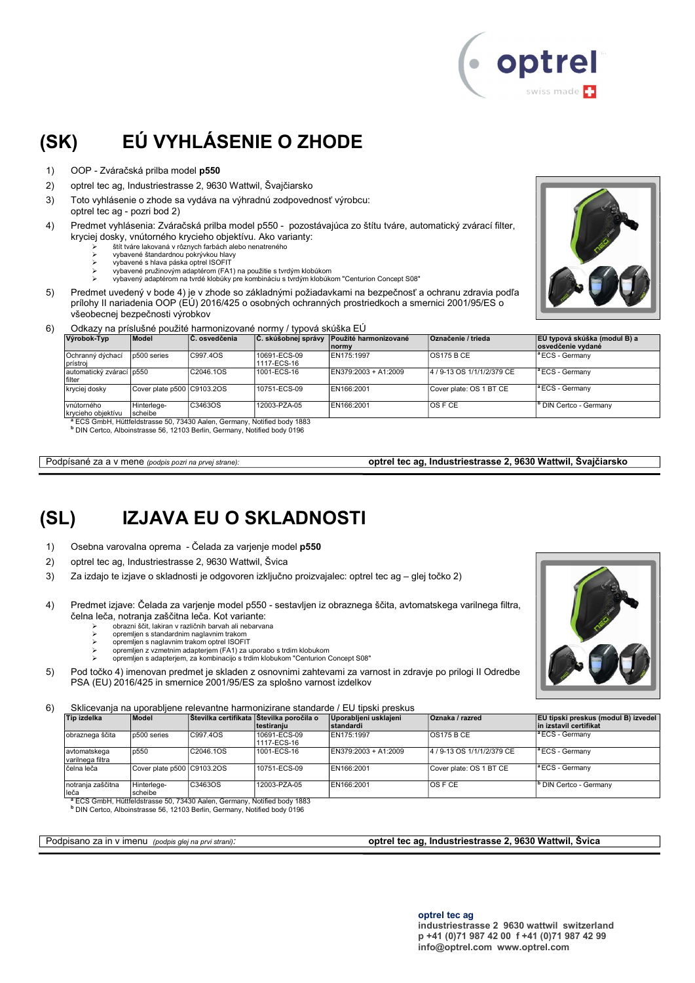

# (SK) EÚ VYHLÁSENIE O ZHODE

- 1) OOP Zváračská prilba model p550
- 2) optrel tec ag, Industriestrasse 2, 9630 Wattwil, Švajčiarsko
- 3) Toto vyhlásenie o zhode sa vydáva na výhradnú zodpovednosť výrobcu:
- optrel tec ag pozri bod 2)
- 4) Predmet vyhlásenia: Zváračská prilba model p550 pozostávajúca zo štítu tváre, automatický zvárací filter, kryciej dosky, vnútorného krycieho objektívu. Ako varianty:
	- štít tváre lakovaná v rôznych farbách alebo nenatreného
	- vybavené štandardnou pokrývkou hlavy vybavené s hlava páska optrel ISOFIT
	- vybavené pružinovým adaptérom (FA1) na použitie s tvrdým klobúkom
	- vybavený adaptérom na tvrdé klobúky pre kombináciu s tvrdým klobúkom "Centurion Concept S08"
- 5) Predmet uvedený v bode 4) je v zhode so základnými požiadavkami na bezpečnosť a ochranu zdravia podľa prílohy II nariadenia OOP (EÚ) 2016/425 o osobných ochranných prostriedkoch a smernici 2001/95/ES o všeobecnej bezpečnosti výrobkov



#### 6) Odkazy na príslušné použité harmonizované normy / typová skúška EÚ

| Výrobok-Typ                         | Model                      | C. osvedčenia                                                                       |                             | C. skúšobnej správy Použité harmonizované<br><b>Inormy</b> | Označenie / trieda         | EÚ typová skúška (modul B) a<br>osvedčenie vydané |
|-------------------------------------|----------------------------|-------------------------------------------------------------------------------------|-----------------------------|------------------------------------------------------------|----------------------------|---------------------------------------------------|
| Ochranný dýchací<br>prístroi        | p500 series                | C997.4OS                                                                            | 10691-ECS-09<br>1117-ECS-16 | EN175:1997                                                 | <b>OS175 B CE</b>          | <sup>a</sup> ECS - Germany                        |
| automatický zvárací ∣p550<br>filter |                            | C2046.1OS                                                                           | 1001-ECS-16                 | EN379:2003 + A1:2009                                       | 4 / 9-13 OS 1/1/1/2/379 CE | $\vert$ <sup>a</sup> ECS - Germany                |
| kryciej dosky                       | Cover plate p500 C9103.2OS |                                                                                     | 10751-ECS-09                | EN166:2001                                                 | Cover plate: OS 1 BT CE    | $\vert$ <sup>a</sup> ECS - Germany                |
| vnútorného<br>krycieho objektívu    | Hinterlege-<br>scheibe     | C3463OS                                                                             | 12003-PZA-05                | EN166:2001                                                 | IOS F CE                   | <sup>b</sup> DIN Certco - Germany                 |
|                                     |                            | <sup>8</sup> ECS CmbH, Hüttfeldstrasse 50, 73430 Aplen, Cermany, Notified body 1883 |                             |                                                            |                            |                                                   |

<sup>a</sup> ECS GmbH, Hüttfeldstrasse 50, 73430 Aalen, Germany, Notified body 1883<br><sup>b</sup> DIN Certco, Alboinstrasse 56, 12103 Berlin, Germany, Notified body 0196

Podpísané za a v mene (podpis pozri na prvej strane): **optrel tec ag, Industriestrasse 2, 9630 Wattwil, Švajčiarsko** 

### (SL) IZJAVA EU O SKLADNOSTI

- 1) Osebna varovalna oprema Čelada za varjenje model p550
- 2) optrel tec ag, Industriestrasse 2, 9630 Wattwil, Švica
- 3) Za izdajo te izjave o skladnosti je odgovoren izključno proizvajalec: optrel tec ag glej točko 2)
- 4) Predmet izjave: Čelada za varjenje model p550 sestavljen iz obraznega ščita, avtomatskega varilnega filtra, čelna leča, notranja zaščitna leča. Kot variante:
	- $\ge$  obrazni ščit, lakiran v različnih barvah ali nebarvana<br>  $\ge$  opremljen s standardnim naglavnim trakom
		- opremljen s standardnim naglavnim trakom opremljen s naglavnim trakom optrel ISOFIT
		-
	- opremljen z vzmetnim adapterjem (FA1) za uporabo s trdim klobukom opremljen s adapterjem, za kombinacijo s trdim klobukom "Centurion Concept S08"
- 5) Pod točko 4) imenovan predmet je skladen z osnovnimi zahtevami za varnost in zdravje po prilogi II Odredbe PSA (EU) 2016/425 in smernice 2001/95/ES za splošno varnost izdelkov

6) Sklicevanja na uporabljene relevantne harmonizirane standarde / EU tipski preskus

| Tip izdelka                      | Model                      | Stevilka certifikata Stevilka poročila o | Itestiraniu                 | Uporabljeni usklajeni<br>standardi | Oznaka / razred            | EU tipski preskus (modul B) izvedel<br>in izstavil certifikat |
|----------------------------------|----------------------------|------------------------------------------|-----------------------------|------------------------------------|----------------------------|---------------------------------------------------------------|
| obraznega ščita                  | p500 series                | C997.40S                                 | 10691-ECS-09<br>1117-ECS-16 | EN175:1997                         | <b>OS175 B CE</b>          | <sup>1ª</sup> ECS - Germany                                   |
| avtomatskega<br>varilnega filtra | p550                       | C2046.1OS                                | 1001-ECS-16                 | EN379:2003 + A1:2009               | 4 / 9-13 OS 1/1/1/2/379 CE | $\vert$ <sup>a</sup> ECS - Germany                            |
| čelna leča                       | Cover plate p500 C9103.2OS |                                          | 10751-ECS-09                | EN166:2001                         | Cover plate: OS 1 BT CE    | $\vert$ <sup>a</sup> ECS - Germany                            |
| Inotrania zaščitna<br>leča       | Hinterlege-<br>scheibe     | C3463OS                                  | 12003-PZA-05                | EN166:2001                         | IOS F CE                   | <sup>b</sup> DIN Certco - Germany                             |

leča scheibe <sup>a</sup> ECS GmbH, Hüttfeldstrasse 50, 73430 Aalen, Germany, Notified body 1883 b DIN Certco, Alboinstrasse 56, 12103 Berlin, Germany, Notified body 0196

Podpisano za in v imenu (podpis glej na prvi strani): **optrel tec ag, Industriestrasse 2, 9630 Wattwil, Švica**